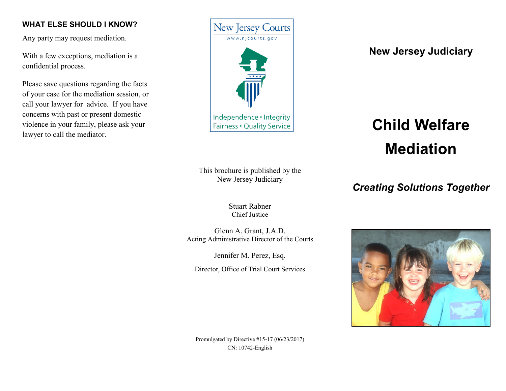#### **WHAT ELSE SHOULD I KNOW?**

Any party may request mediation.

With a few exceptions, mediation is a confidential process.

Please save questions regarding the facts of your case for the mediation session, or call your lawyer for advice. If you have concerns with past or present domestic violence in your family, please ask your lawyer to call the mediator.



**New Jersey Judiciary**

# **Child Welfare Mediation**

*Creating Solutions Together*

This brochure is published by the New Jersey Judiciary

> Stuart Rabner Chief Justice

Glenn A. Grant, J.A.D. Acting Administrative Director of the Courts

Jennifer M. Perez, Esq.

Director, Office of Trial Court Services



Promulgated by Directive #15-17 (06/23/2017) CN: 10742-English